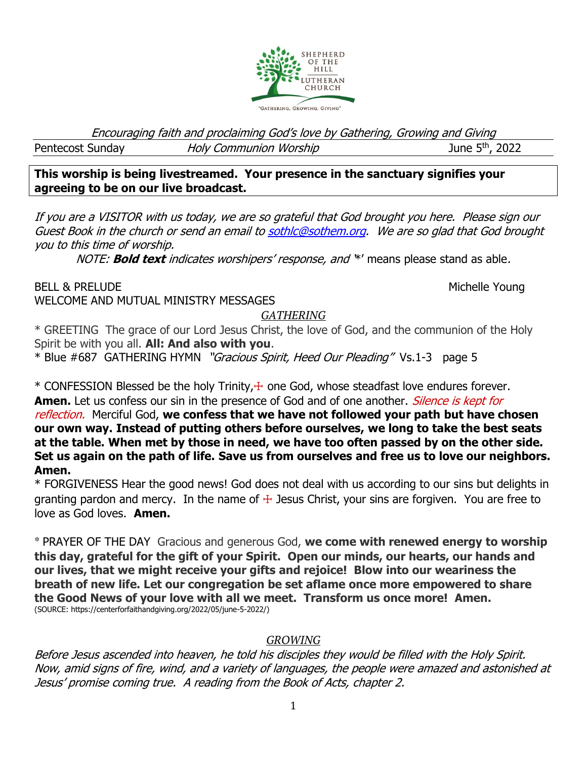

Before Jesus ascended into heaven, he told his disciples they would be filled with the Holy Spirit. Now, amid signs of fire, wind, and a variety of languages, the people were amazed and astonished at Jesus' promise coming true. A reading from the Book of Acts, chapter 2.

*GROWING*

**This worship is being livestreamed. Your presence in the sanctuary signifies your agreeing to be on our live broadcast.** 

If you are a VISITOR with us today, we are so grateful that God brought you here. Please sign our Guest Book in the church or send an email to **sothlc@sothem.org**. We are so glad that God brought you to this time of worship.

NOTE: **Bold text** indicates worshipers' response, and '\*' means please stand as able.

BELL & PRELUDE Michelle Young WELCOME AND MUTUAL MINISTRY MESSAGES

Pentecost Sunday Holy Communion Worship

## *GATHERING*

\* GREETING The grace of our Lord Jesus Christ, the love of God, and the communion of the Holy Spirit be with you all. **All: And also with you**.

\* Blue #687 GATHERING HYMN "Gracious Spirit, Heed Our Pleading" Vs.1-3 page 5

\* CONFESSION Blessed be the holy Trinity,  $+$  one God, whose steadfast love endures forever.

**Amen.** Let us confess our sin in the presence of God and of one another. *Silence is kept for* reflection. Merciful God, **we confess that we have not followed your path but have chosen our own way. Instead of putting others before ourselves, we long to take the best seats at the table. When met by those in need, we have too often passed by on the other side. Set us again on the path of life. Save us from ourselves and free us to love our neighbors. Amen.**

\* FORGIVENESS Hear the good news! God does not deal with us according to our sins but delights in granting pardon and mercy. In the name of  $\pm$  Jesus Christ, your sins are forgiven. You are free to love as God loves. **Amen.**

\* PRAYER OF THE DAY Gracious and generous God, **we come with renewed energy to worship this day, grateful for the gift of your Spirit. Open our minds, our hearts, our hands and our lives, that we might receive your gifts and rejoice! Blow into our weariness the breath of new life. Let our congregation be set aflame once more empowered to share the Good News of your love with all we meet. Transform us once more! Amen.**  (SOURCE: https://centerforfaithandgiving.org/2022/05/june-5-2022/)

HILL LUTHERAN **CHURCH** "GATHERING, GROWING, GIVING"

Encouraging faith and proclaiming God's love by Gathering, Growing and Giving

SHEPHERD OF THE

June 5<sup>th</sup>, 2022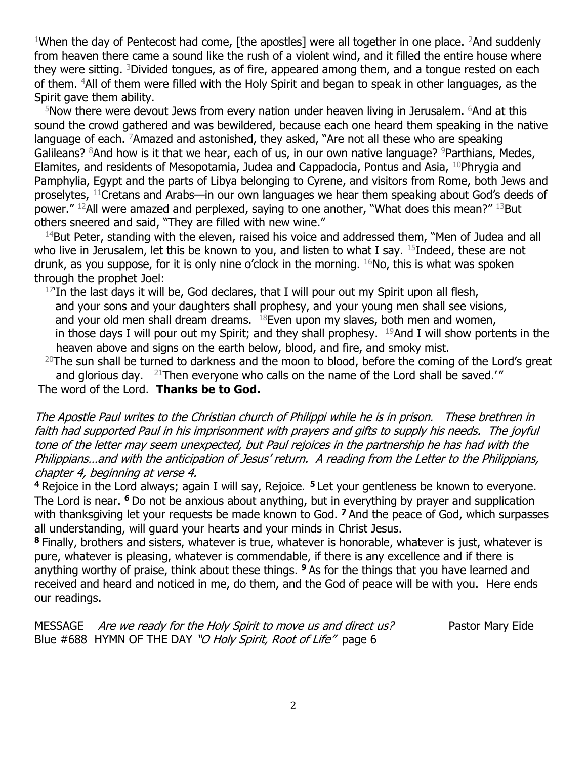<sup>1</sup>When the day of Pentecost had come, [the apostles] were all together in one place. <sup>2</sup>And suddenly from heaven there came a sound like the rush of a violent wind, and it filled the entire house where they were sitting. <sup>3</sup>Divided tongues, as of fire, appeared among them, and a tongue rested on each of them. <sup>4</sup>All of them were filled with the Holy Spirit and began to speak in other languages, as the Spirit gave them ability.

 $5$ Now there were devout Jews from every nation under heaven living in Jerusalem.  $6$ And at this sound the crowd gathered and was bewildered, because each one heard them speaking in the native language of each. <sup>7</sup>Amazed and astonished, they asked, "Are not all these who are speaking Galileans?  $8$ And how is it that we hear, each of us, in our own native language?  $9$ Parthians, Medes, Elamites, and residents of Mesopotamia, Judea and Cappadocia, Pontus and Asia, <sup>10</sup>Phrygia and Pamphylia, Egypt and the parts of Libya belonging to Cyrene, and visitors from Rome, both Jews and proselytes, <sup>11</sup>Cretans and Arabs—in our own languages we hear them speaking about God's deeds of power." <sup>12</sup>All were amazed and perplexed, saying to one another, "What does this mean?" <sup>13</sup>But others sneered and said, "They are filled with new wine."

 $14$ But Peter, standing with the eleven, raised his voice and addressed them, "Men of Judea and all who live in Jerusalem, let this be known to you, and listen to what I say. <sup>15</sup>Indeed, these are not drunk, as you suppose, for it is only nine o'clock in the morning.  $^{16}$ No, this is what was spoken through the prophet Joel:

 $17$ In the last days it will be, God declares, that I will pour out my Spirit upon all flesh, and your sons and your daughters shall prophesy, and your young men shall see visions, and your old men shall dream dreams.  $18$ Even upon my slaves, both men and women, in those days I will pour out my Spirit; and they shall prophesy.  $19$ And I will show portents in the heaven above and signs on the earth below, blood, and fire, and smoky mist.

<sup>20</sup>The sun shall be turned to darkness and the moon to blood, before the coming of the Lord's great and glorious day.  $21$ Then everyone who calls on the name of the Lord shall be saved.'" The word of the Lord. **Thanks be to God.** 

The Apostle Paul writes to the Christian church of Philippi while he is in prison. These brethren in faith had supported Paul in his imprisonment with prayers and gifts to supply his needs. The joyful tone of the letter may seem unexpected, but Paul rejoices in the partnership he has had with the Philippians…and with the anticipation of Jesus' return. A reading from the Letter to the Philippians, chapter 4, beginning at verse 4.

**<sup>4</sup>** Rejoice in the Lord always; again I will say, Rejoice. **<sup>5</sup>** Let your gentleness be known to everyone. The Lord is near. **<sup>6</sup>** Do not be anxious about anything, but in everything by prayer and supplication with thanksgiving let your requests be made known to God. **<sup>7</sup>** And the peace of God, which surpasses all understanding, will guard your hearts and your minds in Christ Jesus.

**<sup>8</sup>** Finally, brothers and sisters, whatever is true, whatever is honorable, whatever is just, whatever is pure, whatever is pleasing, whatever is commendable, if there is any excellence and if there is anything worthy of praise, think about these things. **<sup>9</sup>** As for the things that you have learned and received and heard and noticed in me, do them, and the God of peace will be with you. Here ends our readings.

MESSAGE Are we ready for the Holy Spirit to move us and direct us? Pastor Mary Eide Blue #688 HYMN OF THE DAY "O Holy Spirit, Root of Life" page 6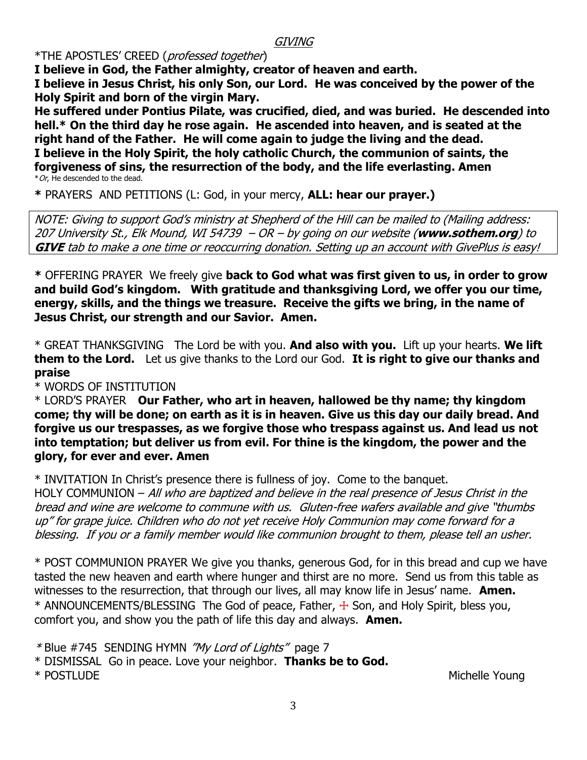## **GIVING**

\*THE APOSTLES' CREED (professed together)

**I believe in God, the Father almighty, creator of heaven and earth. I believe in Jesus Christ, his only Son, our Lord. He was conceived by the power of the Holy Spirit and born of the virgin Mary.**

**He suffered under Pontius Pilate, was crucified, died, and was buried. He descended into hell.\* On the third day he rose again. He ascended into heaven, and is seated at the right hand of the Father. He will come again to judge the living and the dead. I believe in the Holy Spirit, the holy catholic Church, the communion of saints, the forgiveness of sins, the resurrection of the body, and the life everlasting. Amen**  $*$  Or, He descended to the dead.

**\*** PRAYERS AND PETITIONS (L: God, in your mercy, **ALL: hear our prayer.)**

NOTE: Giving to support God's ministry at Shepherd of the Hill can be mailed to (Mailing address: 207 University St., Elk Mound, WI 54739 – OR – by going on our website (**www.sothem.org**) to **GIVE** tab to make a one time or reoccurring donation. Setting up an account with GivePlus is easy!

**\*** OFFERING PRAYERWe freely give **back to God what was first given to us, in order to grow and build God's kingdom. With gratitude and thanksgiving Lord, we offer you our time, energy, skills, and the things we treasure. Receive the gifts we bring, in the name of Jesus Christ, our strength and our Savior. Amen.** 

\* GREAT THANKSGIVING The Lord be with you. **And also with you.** Lift up your hearts. **We lift them to the Lord.** Let us give thanks to the Lord our God. **It is right to give our thanks and praise**

\* WORDS OF INSTITUTION

\* LORD'S PRAYER **Our Father, who art in heaven, hallowed be thy name; thy kingdom come; thy will be done; on earth as it is in heaven. Give us this day our daily bread. And forgive us our trespasses, as we forgive those who trespass against us. And lead us not into temptation; but deliver us from evil. For thine is the kingdom, the power and the glory, for ever and ever. Amen**

\* INVITATION In Christ's presence there is fullness of joy. Come to the banquet.

HOLY COMMUNION – All who are baptized and believe in the real presence of Jesus Christ in the bread and wine are welcome to commune with us. Gluten-free wafers available and give "thumbs up" for grape juice. Children who do not yet receive Holy Communion may come forward for a blessing. If you or a family member would like communion brought to them, please tell an usher.

\* POST COMMUNION PRAYER We give you thanks, generous God, for in this bread and cup we have tasted the new heaven and earth where hunger and thirst are no more. Send us from this table as witnesses to the resurrection, that through our lives, all may know life in Jesus' name. **Amen.** \* ANNOUNCEMENTS/BLESSING The God of peace, Father,  $\pm$  Son, and Holy Spirit, bless you, comfort you, and show you the path of life this day and always. **Amen.**

\* Blue #745 SENDING HYMN "My Lord of Lights" page 7 \* DISMISSAL Go in peace. Love your neighbor. **Thanks be to God.** \* POSTLUDE And the Michelle Young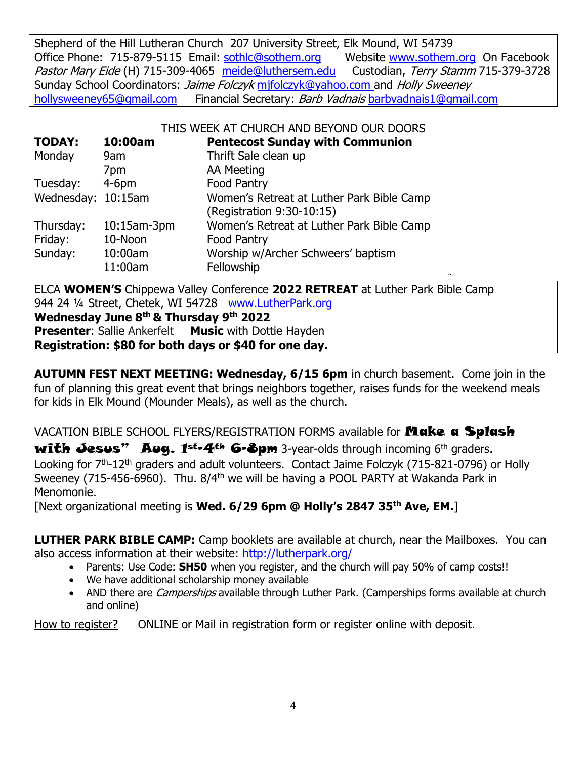Shepherd of the Hill Lutheran Church 207 University Street, Elk Mound, WI 54739 Office Phone: 715-879-5115 Email: [sothlc@sothem.org](mailto:sothlc@sothem.org) Website [www.sothem.org](http://www.sothem.org/) On Facebook Pastor Mary Eide (H) 715-309-4065 [meide@luthersem.edu](mailto:meide@luthersem.edu) Custodian, Terry Stamm 715-379-3728 Sunday School Coordinators: *Jaime Folczyk* mifolczyk@yahoo.com and Holly Sweeney [hollysweeney65@gmail.com](mailto:hollysweeney65@gmail.com) Financial Secretary: Barb Vadnais [barbvadnais1@gmail.com](mailto:barbvadnais1@gmail.com)

THIS WEEK AT CHURCH AND BEYOND OUR DOORS

| <b>TODAY:</b>      | 10:00am     | <b>Pentecost Sunday with Communion</b>    |
|--------------------|-------------|-------------------------------------------|
| Monday             | 9am         | Thrift Sale clean up                      |
|                    | 7pm         | <b>AA Meeting</b>                         |
| Tuesday:           | $4-6$ pm    | <b>Food Pantry</b>                        |
| Wednesday: 10:15am |             | Women's Retreat at Luther Park Bible Camp |
|                    |             | (Registration 9:30-10:15)                 |
| Thursday:          | 10:15am-3pm | Women's Retreat at Luther Park Bible Camp |
| Friday:            | 10-Noon     | <b>Food Pantry</b>                        |
| Sunday:            | 10:00am     | Worship w/Archer Schweers' baptism        |
|                    | 11:00am     | Fellowship                                |

ELCA **WOMEN'S** Chippewa Valley Conference **2022 RETREAT** at Luther Park Bible Camp 944 24 ¼ Street, Chetek, WI 54728 [www.LutherPark.org](http://www.lutherpark.org/) **Wednesday June 8th & Thursday 9th 2022 Presenter:** Sallie Ankerfelt **Music** with Dottie Hayden **Registration: \$80 for both days or \$40 for one day.** 

**AUTUMN FEST NEXT MEETING: Wednesday, 6/15 6pm** in church basement. Come join in the fun of planning this great event that brings neighbors together, raises funds for the weekend meals for kids in Elk Mound (Mounder Meals), as well as the church.

## VACATION BIBLE SCHOOL FLYERS/REGISTRATION FORMS available for **Make a Splash**

with Jesus" Aug.  $1^{st}$ -4<sup>th</sup> 6-8pm 3-year-olds through incoming 6<sup>th</sup> graders. Looking for 7<sup>th</sup>-12<sup>th</sup> graders and adult volunteers. Contact Jaime Folczyk (715-821-0796) or Holly Sweeney (715-456-6960). Thu.  $8/4<sup>th</sup>$  we will be having a POOL PARTY at Wakanda Park in Menomonie.

[Next organizational meeting is **Wed. 6/29 6pm @ Holly's 2847 35th Ave, EM.**]

**LUTHER PARK BIBLE CAMP:** Camp booklets are available at church, near the Mailboxes. You can also access information at their website:<http://lutherpark.org/>

- Parents: Use Code: **SH50** when you register, and the church will pay 50% of camp costs!!
- We have additional scholarship money available
- AND there are *Camperships* available through Luther Park. (Camperships forms available at church and online)

How to register? ONLINE or Mail in registration form or register online with deposit.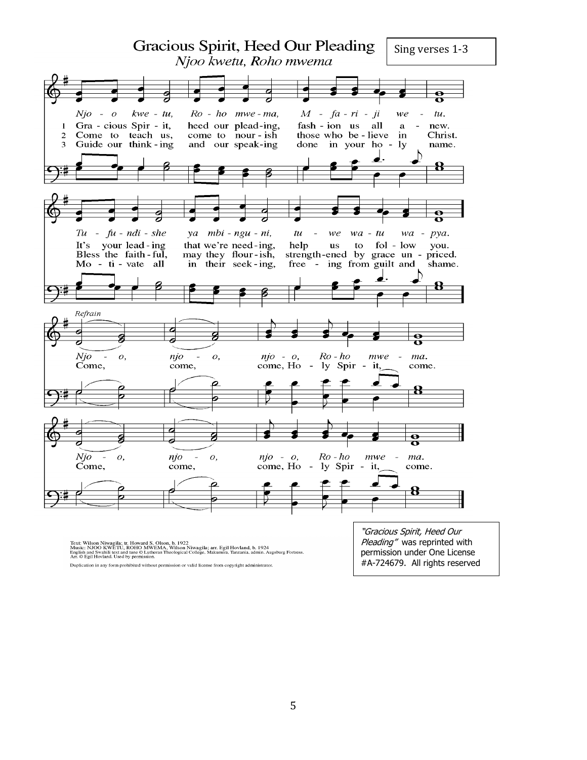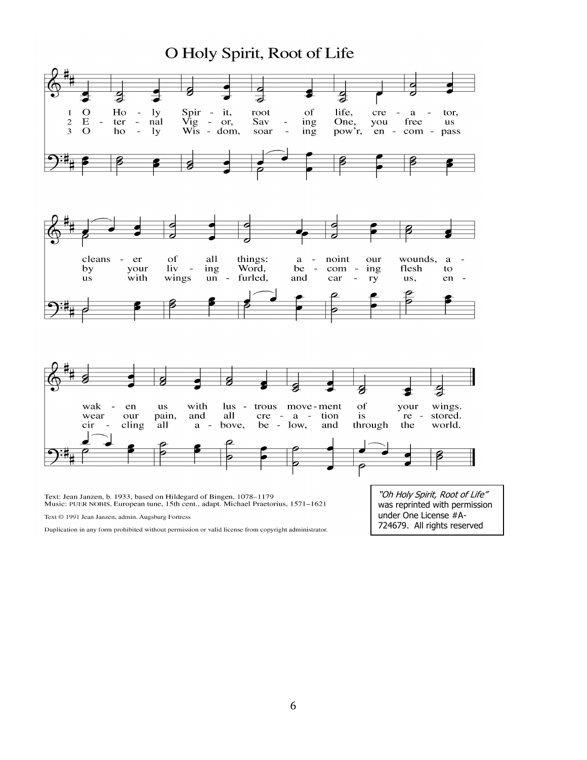

Text: Jean Janzen, b. 1933, based on Hildegard of Bingen, 1078-1179 Music: PUER NOBIS, European tune, 15th cent., adapt. Michael Praetorius, 1571-1621

Text © 1991 Jean Janzen, admin. Augsburg Fortress

Duplication in any form prohibited without permission or valid license from copyright administrator.

"Oh Holy Spirit, Root of Life" was reprinted with permission under One License #A-724679. All rights reserved